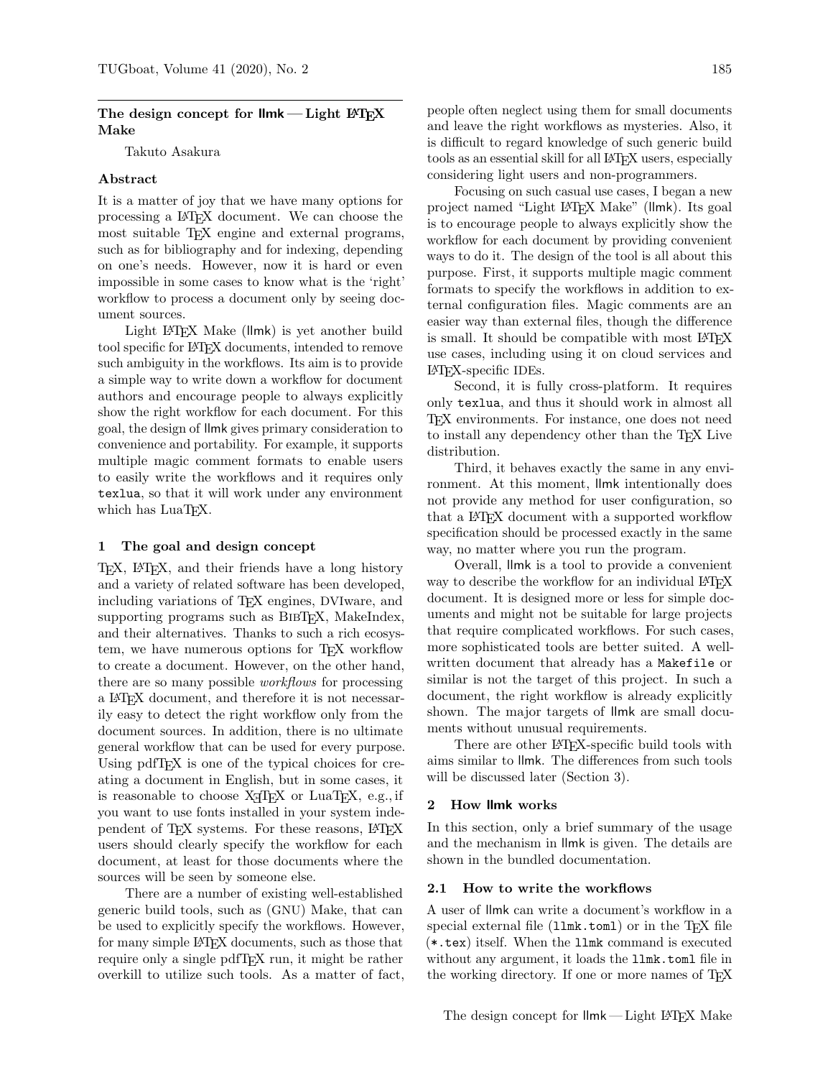# The design concept for  $\mathsf{lmk}-\mathsf{Light}$  LeT<sub>EX</sub> Make

Takuto Asakura

## Abstract

It is a matter of joy that we have many options for processing a LATEX document. We can choose the most suitable T<sub>EX</sub> engine and external programs, such as for bibliography and for indexing, depending on one's needs. However, now it is hard or even impossible in some cases to know what is the 'right' workflow to process a document only by seeing document sources.

Light L<sup>AT</sup>EX Make (llmk) is yet another build tool specific for LATEX documents, intended to remove such ambiguity in the workflows. Its aim is to provide a simple way to write down a workflow for document authors and encourage people to always explicitly show the right workflow for each document. For this goal, the design of llmk gives primary consideration to convenience and portability. For example, it supports multiple magic comment formats to enable users to easily write the workflows and it requires only texlua, so that it will work under any environment which has LuaT<sub>E</sub>X.

## 1 The goal and design concept

TEX, LATEX, and their friends have a long history and a variety of related software has been developed, including variations of TEX engines, DVIware, and supporting programs such as BIBT<sub>EX</sub>, MakeIndex, and their alternatives. Thanks to such a rich ecosystem, we have numerous options for T<sub>E</sub>X workflow to create a document. However, on the other hand, there are so many possible workflows for processing a LATEX document, and therefore it is not necessarily easy to detect the right workflow only from the document sources. In addition, there is no ultimate general workflow that can be used for every purpose. Using pdfT<sub>E</sub>X is one of the typical choices for creating a document in English, but in some cases, it is reasonable to choose XTIEX or LuaTEX, e.g., if you want to use fonts installed in your system independent of TEX systems. For these reasons, LATEX users should clearly specify the workflow for each document, at least for those documents where the sources will be seen by someone else.

There are a number of existing well-established generic build tools, such as (GNU) Make, that can be used to explicitly specify the workflows. However, for many simple LATEX documents, such as those that require only a single pdfT<sub>EX</sub> run, it might be rather overkill to utilize such tools. As a matter of fact, people often neglect using them for small documents and leave the right workflows as mysteries. Also, it is difficult to regard knowledge of such generic build tools as an essential skill for all LATEX users, especially considering light users and non-programmers.

Focusing on such casual use cases, I began a new project named "Light LATEX Make" (llmk). Its goal is to encourage people to always explicitly show the workflow for each document by providing convenient ways to do it. The design of the tool is all about this purpose. First, it supports multiple magic comment formats to specify the workflows in addition to external configuration files. Magic comments are an easier way than external files, though the difference is small. It should be compatible with most LAT<sub>EX</sub> use cases, including using it on cloud services and LATEX-specific IDEs.

Second, it is fully cross-platform. It requires only texlua, and thus it should work in almost all TEX environments. For instance, one does not need to install any dependency other than the T<sub>E</sub>X Live distribution.

Third, it behaves exactly the same in any environment. At this moment, llmk intentionally does not provide any method for user configuration, so that a LAT<sub>EX</sub> document with a supported workflow specification should be processed exactly in the same way, no matter where you run the program.

Overall, llmk is a tool to provide a convenient way to describe the workflow for an individual LATEX document. It is designed more or less for simple documents and might not be suitable for large projects that require complicated workflows. For such cases, more sophisticated tools are better suited. A wellwritten document that already has a Makefile or similar is not the target of this project. In such a document, the right workflow is already explicitly shown. The major targets of llmk are small documents without unusual requirements.

There are other LAT<sub>E</sub>X-specific build tools with aims similar to llmk. The differences from such tools will be discussed later (Section [3\)](#page-1-0).

#### 2 How llmk works

In this section, only a brief summary of the usage and the mechanism in llmk is given. The details are shown in the bundled documentation.

#### 2.1 How to write the workflows

A user of llmk can write a document's workflow in a special external file  $(11mk.tom1)$  or in the T<sub>E</sub>X file (\*.tex) itself. When the llmk command is executed without any argument, it loads the **llmk**.toml file in the working directory. If one or more names of TFX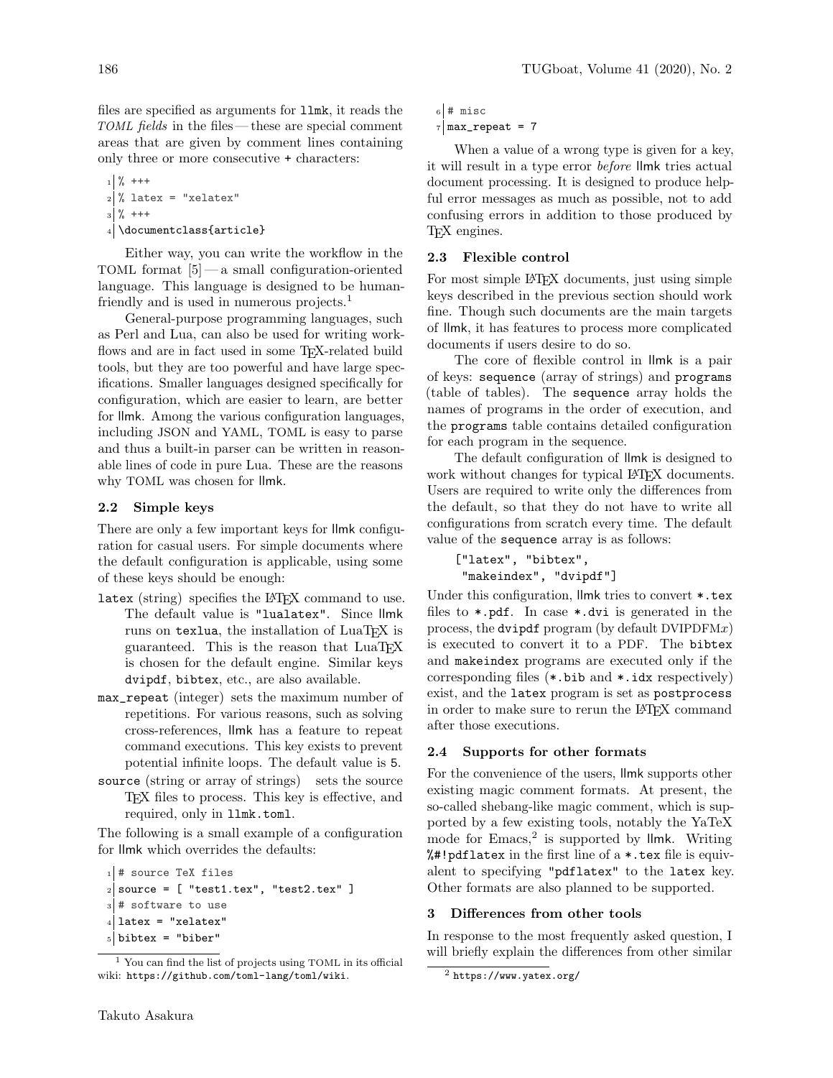files are specified as arguments for llmk, it reads the TOML fields in the files — these are special comment areas that are given by comment lines containing only three or more consecutive + characters:

```
1 \frac{9}{6} +++
_{2} % latex = "xelatex"
3 \frac{9}{6} +++
4 \documentclass{article}
```
Either way, you can write the workflow in the TOML format [\[5\]](#page-2-0)— a small configuration-oriented language. This language is designed to be human-friendly and is used in numerous projects.<sup>[1](#page-1-1)</sup>

General-purpose programming languages, such as Perl and Lua, can also be used for writing workflows and are in fact used in some TEX-related build tools, but they are too powerful and have large specifications. Smaller languages designed specifically for configuration, which are easier to learn, are better for llmk. Among the various configuration languages, including JSON and YAML, TOML is easy to parse and thus a built-in parser can be written in reasonable lines of code in pure Lua. These are the reasons why TOML was chosen for llmk.

### 2.2 Simple keys

There are only a few important keys for llmk configuration for casual users. For simple documents where the default configuration is applicable, using some of these keys should be enough:

- latex (string) specifies the LAT<sub>EX</sub> command to use. The default value is "lualatex". Since llmk runs on texlua, the installation of LuaTFX is guaranteed. This is the reason that LuaTFX is chosen for the default engine. Similar keys dvipdf, bibtex, etc., are also available.
- max\_repeat (integer) sets the maximum number of repetitions. For various reasons, such as solving cross-references, llmk has a feature to repeat command executions. This key exists to prevent potential infinite loops. The default value is 5.
- source (string or array of strings) sets the source TEX files to process. This key is effective, and required, only in llmk.toml.

The following is a small example of a configuration for llmk which overrides the defaults:

```
_1 # source TeX files
_2 source = [ "test1.tex", "test2.tex" ]
3 # software to use
_4| latex = "xelatex"
5 bibtex = "biber"
```

```
6 # misc
7 max_repeat = 7
```
When a value of a wrong type is given for a key, it will result in a type error before llmk tries actual document processing. It is designed to produce helpful error messages as much as possible, not to add confusing errors in addition to those produced by TEX engines.

# 2.3 Flexible control

For most simple LAT<sub>EX</sub> documents, just using simple keys described in the previous section should work fine. Though such documents are the main targets of llmk, it has features to process more complicated documents if users desire to do so.

The core of flexible control in llmk is a pair of keys: sequence (array of strings) and programs (table of tables). The sequence array holds the names of programs in the order of execution, and the programs table contains detailed configuration for each program in the sequence.

The default configuration of llmk is designed to work without changes for typical LAT<sub>EX</sub> documents. Users are required to write only the differences from the default, so that they do not have to write all configurations from scratch every time. The default value of the sequence array is as follows:

```
["latex", "bibtex",
"makeindex", "dvipdf"]
```
Under this configuration, llmk tries to convert  $\ast$ .tex files to \*.pdf. In case \*.dvi is generated in the process, the dvipdf program (by default DVIPDFMx) is executed to convert it to a PDF. The bibtex and makeindex programs are executed only if the corresponding files (\*.bib and \*.idx respectively) exist, and the latex program is set as postprocess in order to make sure to rerun the LATEX command after those executions.

#### 2.4 Supports for other formats

For the convenience of the users, llmk supports other existing magic comment formats. At present, the so-called shebang-like magic comment, which is supported by a few existing tools, notably the YaTeX mode for  $Emacs$ <sup>[2](#page-1-2)</sup> is supported by  $lmk$ . Writing %#!pdflatex in the first line of a \*.tex file is equivalent to specifying "pdflatex" to the latex key. Other formats are also planned to be supported.

## <span id="page-1-0"></span>3 Differences from other tools

In response to the most frequently asked question, I will briefly explain the differences from other similar

<span id="page-1-1"></span> $<sup>1</sup>$  You can find the list of projects using TOML in its official</sup> wiki: [https://github.com/toml-lang/toml/wiki](https: //github.com/toml-lang/toml/wiki).

<span id="page-1-2"></span><sup>2</sup> <https://www.yatex.org/>